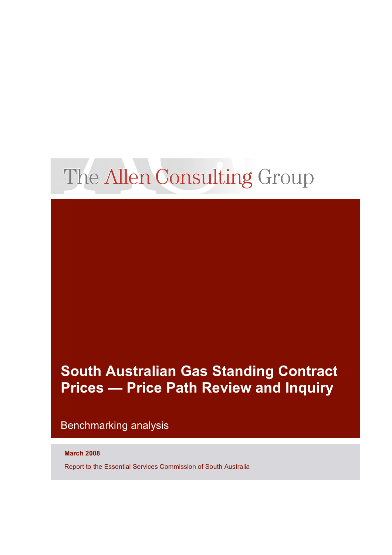# The Allen Consulting Group

# **South Australian Gas Standing Contract Prices — Price Path Review and Inquiry**

### Benchmarking analysis

#### **March 2008**

Report to the Essential Services Commission of South Australia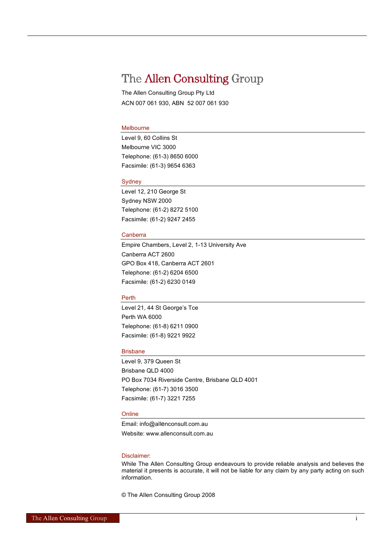## The Allen Consulting Group

The Allen Consulting Group Pty Ltd ACN 007 061 930, ABN 52 007 061 930

#### Melbourne

Level 9, 60 Collins St Melbourne VIC 3000 Telephone: (61-3) 8650 6000 Facsimile: (61-3) 9654 6363

#### Sydney

Level 12, 210 George St Sydney NSW 2000 Telephone: (61-2) 8272 5100 Facsimile: (61-2) 9247 2455

#### Canberra

Empire Chambers, Level 2, 1-13 University Ave Canberra ACT 2600 GPO Box 418, Canberra ACT 2601 Telephone: (61-2) 6204 6500 Facsimile: (61-2) 6230 0149

#### Perth

Level 21, 44 St George's Tce Perth WA 6000 Telephone: (61-8) 6211 0900 Facsimile: (61-8) 9221 9922

#### Brisbane

Level 9, 379 Queen St Brisbane QLD 4000 PO Box 7034 Riverside Centre, Brisbane QLD 4001 Telephone: (61-7) 3016 3500 Facsimile: (61-7) 3221 7255

#### **Online**

Email: info@allenconsult.com.au Website: www.allenconsult.com.au

#### Disclaimer:

While The Allen Consulting Group endeavours to provide reliable analysis and believes the material it presents is accurate, it will not be liable for any claim by any party acting on such information.

© The Allen Consulting Group 2008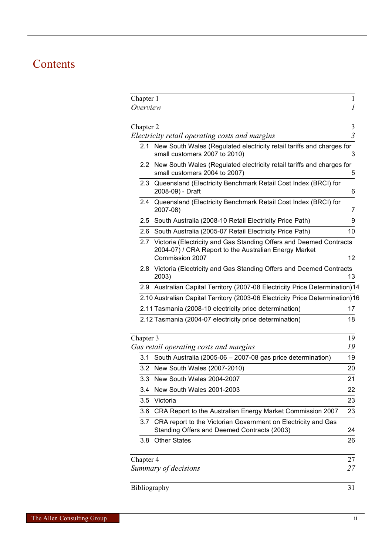# Contents

| Chapter 1<br>Overview |                                                                                                                                                | 1<br>1         |
|-----------------------|------------------------------------------------------------------------------------------------------------------------------------------------|----------------|
| Chapter 2             |                                                                                                                                                | 3              |
|                       | Electricity retail operating costs and margins                                                                                                 | $\overline{3}$ |
| 2.1                   | New South Wales (Regulated electricity retail tariffs and charges for<br>small customers 2007 to 2010)                                         | З              |
|                       | 2.2 New South Wales (Regulated electricity retail tariffs and charges for<br>small customers 2004 to 2007)                                     | 5              |
|                       | 2.3 Queensland (Electricity Benchmark Retail Cost Index (BRCI) for<br>2008-09) - Draft                                                         | 6              |
| 2.4                   | Queensland (Electricity Benchmark Retail Cost Index (BRCI) for<br>2007-08)                                                                     | 7              |
|                       | 2.5 South Australia (2008-10 Retail Electricity Price Path)                                                                                    | 9              |
| 2.6                   | South Australia (2005-07 Retail Electricity Price Path)                                                                                        | 10             |
| 2.7                   | Victoria (Electricity and Gas Standing Offers and Deemed Contracts<br>2004-07) / CRA Report to the Australian Energy Market<br>Commission 2007 | 12             |
|                       | 2.8 Victoria (Electricity and Gas Standing Offers and Deemed Contracts<br>2003)                                                                | 13             |
|                       | 2.9 Australian Capital Territory (2007-08 Electricity Price Determination)14                                                                   |                |
|                       | 2.10 Australian Capital Territory (2003-06 Electricity Price Determination)16                                                                  |                |
|                       | 2.11 Tasmania (2008-10 electricity price determination)                                                                                        | 17             |
|                       | 2.12 Tasmania (2004-07 electricity price determination)                                                                                        | 18             |
| Chapter 3             |                                                                                                                                                | 19             |
|                       | Gas retail operating costs and margins                                                                                                         | 19             |
| 3.1                   | South Australia (2005-06 - 2007-08 gas price determination)                                                                                    | 19             |
|                       | 3.2 New South Wales (2007-2010)                                                                                                                | 20             |
|                       | 3.3 New South Wales 2004-2007                                                                                                                  | 21             |
|                       | 3.4 New South Wales 2001-2003                                                                                                                  | 22             |
| 3.5                   | Victoria                                                                                                                                       | 23             |
| 3.6                   | CRA Report to the Australian Energy Market Commission 2007                                                                                     | 23             |
| 3.7                   | CRA report to the Victorian Government on Electricity and Gas<br>Standing Offers and Deemed Contracts (2003)                                   | 24             |
| 3.8                   | <b>Other States</b>                                                                                                                            | 26             |
| Chapter 4             |                                                                                                                                                | 27             |
|                       | Summary of decisions                                                                                                                           | 27             |
|                       | Bibliography                                                                                                                                   | 31             |
|                       |                                                                                                                                                |                |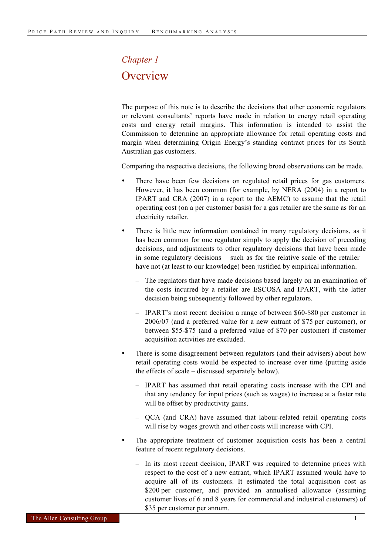# *Chapter 1* **Overview**

The purpose of this note is to describe the decisions that other economic regulators or relevant consultants' reports have made in relation to energy retail operating costs and energy retail margins. This information is intended to assist the Commission to determine an appropriate allowance for retail operating costs and margin when determining Origin Energy's standing contract prices for its South Australian gas customers.

Comparing the respective decisions, the following broad observations can be made.

- There have been few decisions on regulated retail prices for gas customers. However, it has been common (for example, by NERA (2004) in a report to IPART and CRA (2007) in a report to the AEMC) to assume that the retail operating cost (on a per customer basis) for a gas retailer are the same as for an electricity retailer.
- There is little new information contained in many regulatory decisions, as it has been common for one regulator simply to apply the decision of preceding decisions, and adjustments to other regulatory decisions that have been made in some regulatory decisions – such as for the relative scale of the retailer – have not (at least to our knowledge) been justified by empirical information.
	- The regulators that have made decisions based largely on an examination of the costs incurred by a retailer are ESCOSA and IPART, with the latter decision being subsequently followed by other regulators.
	- IPART's most recent decision a range of between \$60-\$80 per customer in 2006/07 (and a preferred value for a new entrant of \$75 per customer), or between \$55-\$75 (and a preferred value of \$70 per customer) if customer acquisition activities are excluded.
- There is some disagreement between regulators (and their advisers) about how retail operating costs would be expected to increase over time (putting aside the effects of scale – discussed separately below).
	- IPART has assumed that retail operating costs increase with the CPI and that any tendency for input prices (such as wages) to increase at a faster rate will be offset by productivity gains.
	- QCA (and CRA) have assumed that labour-related retail operating costs will rise by wages growth and other costs will increase with CPI.
- The appropriate treatment of customer acquisition costs has been a central feature of recent regulatory decisions.
	- In its most recent decision, IPART was required to determine prices with respect to the cost of a new entrant, which IPART assumed would have to acquire all of its customers. It estimated the total acquisition cost as \$200 per customer, and provided an annualised allowance (assuming customer lives of 6 and 8 years for commercial and industrial customers) of \$35 per customer per annum.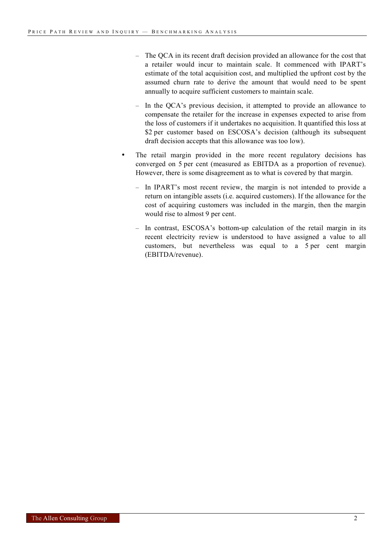- The QCA in its recent draft decision provided an allowance for the cost that a retailer would incur to maintain scale. It commenced with IPART's estimate of the total acquisition cost, and multiplied the upfront cost by the assumed churn rate to derive the amount that would need to be spent annually to acquire sufficient customers to maintain scale.
- In the QCA's previous decision, it attempted to provide an allowance to compensate the retailer for the increase in expenses expected to arise from the loss of customers if it undertakes no acquisition. It quantified this loss at \$2 per customer based on ESCOSA's decision (although its subsequent draft decision accepts that this allowance was too low).
- The retail margin provided in the more recent regulatory decisions has converged on 5 per cent (measured as EBITDA as a proportion of revenue). However, there is some disagreement as to what is covered by that margin.
	- In IPART's most recent review, the margin is not intended to provide a return on intangible assets (i.e. acquired customers). If the allowance for the cost of acquiring customers was included in the margin, then the margin would rise to almost 9 per cent.
	- In contrast, ESCOSA's bottom-up calculation of the retail margin in its recent electricity review is understood to have assigned a value to all customers, but nevertheless was equal to a 5 per cent margin (EBITDA/revenue).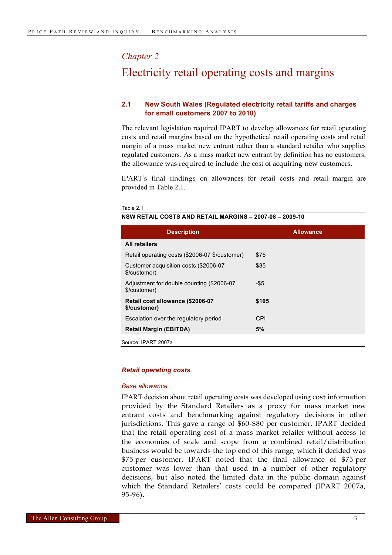#### *Chapter 2*

### Electricity retail operating costs and margins

#### **2.1 New South Wales (Regulated electricity retail tariffs and charges for small customers 2007 to 2010)**

The relevant legislation required IPART to develop allowances for retail operating costs and retail margins based on the hypothetical retail operating costs and retail margin of a mass market new entrant rather than a standard retailer who supplies regulated customers. As a mass market new entrant by definition has no customers, the allowance was required to include the cost of acquiring new customers.

IPART's final findings on allowances for retail costs and retail margin are provided in Table 2.1.

#### Table 2.1

#### **NSW RETAIL COSTS AND RETAIL MARGINS – 2007-08 – 2009-10**

| <b>Description</b>                                        | <b>Allowance</b> |
|-----------------------------------------------------------|------------------|
| <b>All retailers</b>                                      |                  |
| Retail operating costs (\$2006-07 \$/customer)            | \$75             |
| Customer acquisition costs (\$2006-07<br>\$/customer)     | \$35             |
| Adjustment for double counting (\$2006-07<br>\$/customer) | -\$5             |
| Retail cost allowance (\$2006-07<br>\$/customer)          | \$105            |
| Escalation over the regulatory period                     | CPI              |
| <b>Retail Margin (EBITDA)</b>                             | 5%               |
|                                                           |                  |

Source: IPART 2007a

#### *Retail operating costs*

#### *Base allowance*

IPART decision about retail operating costs was developed using cost information provided by the Standard Retailers as a proxy for mass market new entrant costs and benchmarking against regulatory decisions in other jurisdictions. This gave a range of \$60-\$80 per customer. IPART decided that the retail operating cost of a mass market retailer without access to the economies of scale and scope from a combined retail/distribution business would be towards the top end of this range, which it decided was \$75 per customer. IPART noted that the final allowance of \$75 per customer was lower than that used in a number of other regulatory decisions, but also noted the limited data in the public domain against which the Standard Retailers' costs could be compared (IPART 2007a, 95-96).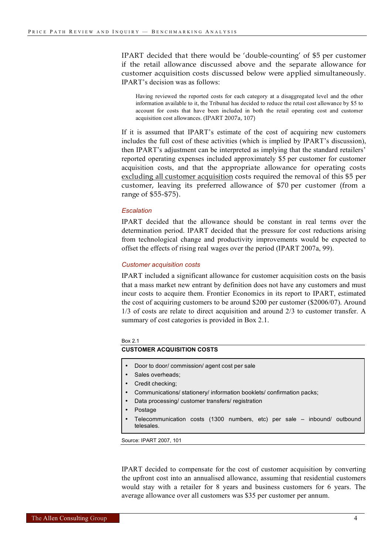IPART decided that there would be 'double-counting' of \$5 per customer if the retail allowance discussed above and the separate allowance for customer acquisition costs discussed below were applied simultaneously. IPART's decision was as follows:

Having reviewed the reported costs for each category at a disaggregated level and the other information available to it, the Tribunal has decided to reduce the retail cost allowance by \$5 to account for costs that have been included in both the retail operating cost and customer acquisition cost allowances. (IPART 2007a, 107)

If it is assumed that IPART's estimate of the cost of acquiring new customers includes the full cost of these activities (which is implied by IPART's discussion), then IPART's adjustment can be interpreted as implying that the standard retailers' reported operating expenses included approximately \$5 per customer for customer acquisition costs, and that the appropriate allowance for operating costs excluding all customer acquisition costs required the removal of this \$5 per customer, leaving its preferred allowance of \$70 per customer (from a range of \$55-\$75).

#### *Escalation*

IPART decided that the allowance should be constant in real terms over the determination period. IPART decided that the pressure for cost reductions arising from technological change and productivity improvements would be expected to offset the effects of rising real wages over the period (IPART 2007a, 99).

#### *Customer acquisition costs*

IPART included a significant allowance for customer acquisition costs on the basis that a mass market new entrant by definition does not have any customers and must incur costs to acquire them. Frontier Economics in its report to IPART, estimated the cost of acquiring customers to be around \$200 per customer (\$2006/07). Around 1/3 of costs are relate to direct acquisition and around 2/3 to customer transfer. A summary of cost categories is provided in Box 2.1.

#### Box 2.1

#### **CUSTOMER ACQUISITION COSTS**

- Door to door/ commission/ agent cost per sale
- Sales overheads;
- Credit checking:
- Communications/ stationery/ information booklets/ confirmation packs;
- Data processing/ customer transfers/ registration
- Postage
- Telecommunication costs (1300 numbers, etc) per sale inbound/ outbound telesales.

Source: IPART 2007, 101

IPART decided to compensate for the cost of customer acquisition by converting the upfront cost into an annualised allowance, assuming that residential customers would stay with a retailer for 8 years and business customers for 6 years. The average allowance over all customers was \$35 per customer per annum.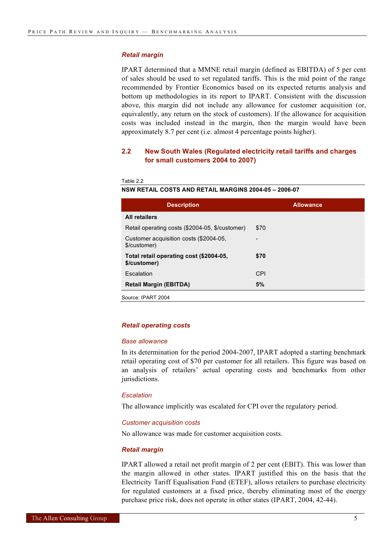#### *Retail margin*

IPART determined that a MMNE retail margin (defined as EBITDA) of 5 per cent of sales should be used to set regulated tariffs. This is the mid point of the range recommended by Frontier Economics based on its expected returns analysis and bottom up methodologies in its report to IPART. Consistent with the discussion above, this margin did not include any allowance for customer acquisition (or, equivalently, any return on the stock of customers). If the allowance for acquisition costs was included instead in the margin, then the margin would have been approximately 8.7 per cent (i.e. almost 4 percentage points higher).

#### **2.2 New South Wales (Regulated electricity retail tariffs and charges for small customers 2004 to 2007)**

Table 2.2

#### **NSW RETAIL COSTS AND RETAIL MARGINS 2004-05 – 2006-07**

| <b>Description</b>                                      | <b>Allowance</b> |
|---------------------------------------------------------|------------------|
| <b>All retailers</b>                                    |                  |
| Retail operating costs (\$2004-05, \$/customer)         | \$70             |
| Customer acquisition costs (\$2004-05,<br>\$/customer)  |                  |
| Total retail operating cost (\$2004-05,<br>\$/customer) | \$70             |
| Escalation                                              | CPI              |
| <b>Retail Margin (EBITDA)</b>                           | 5%               |
| $\sim$                                                  |                  |

Source: IPART 2004

#### *Retail operating costs*

#### *Base allowance*

In its determination for the period 2004-2007, IPART adopted a starting benchmark retail operating cost of \$70 per customer for all retailers. This figure was based on an analysis of retailers' actual operating costs and benchmarks from other jurisdictions.

#### *Escalation*

The allowance implicitly was escalated for CPI over the regulatory period.

#### *Customer acquisition costs*

No allowance was made for customer acquisition costs.

#### *Retail margin*

IPART allowed a retail net profit margin of 2 per cent (EBIT). This was lower than the margin allowed in other states. IPART justified this on the basis that the Electricity Tariff Equalisation Fund (ETEF), allows retailers to purchase electricity for regulated customers at a fixed price, thereby eliminating most of the energy purchase price risk, does not operate in other states (IPART, 2004, 42-44).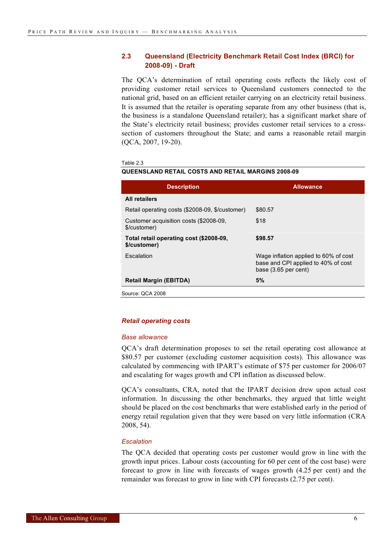#### **2.3 Queensland (Electricity Benchmark Retail Cost Index (BRCI) for 2008-09) - Draft**

The QCA's determination of retail operating costs reflects the likely cost of providing customer retail services to Queensland customers connected to the national grid, based on an efficient retailer carrying on an electricity retail business. It is assumed that the retailer is operating separate from any other business (that is, the business is a standalone Queensland retailer); has a significant market share of the State's electricity retail business; provides customer retail services to a crosssection of customers throughout the State; and earns a reasonable retail margin (QCA, 2007, 19-20).

#### Table 2.3

#### **QUEENSLAND RETAIL COSTS AND RETAIL MARGINS 2008-09**

| <b>Description</b>                                      | <b>Allowance</b>                                                                                       |  |
|---------------------------------------------------------|--------------------------------------------------------------------------------------------------------|--|
| <b>All retailers</b>                                    |                                                                                                        |  |
| Retail operating costs (\$2008-09, \$/customer)         | \$80.57                                                                                                |  |
| Customer acquisition costs (\$2008-09,<br>\$/customer)  | \$18                                                                                                   |  |
| Total retail operating cost (\$2008-09,<br>\$/customer) | \$98.57                                                                                                |  |
| Escalation                                              | Wage inflation applied to 60% of cost<br>base and CPI applied to 40% of cost<br>base $(3.65$ per cent) |  |
| <b>Retail Margin (EBITDA)</b>                           | 5%                                                                                                     |  |
| Source: QCA 2008                                        |                                                                                                        |  |

#### *Retail operating costs*

#### *Base allowance*

QCA's draft determination proposes to set the retail operating cost allowance at \$80.57 per customer (excluding customer acquisition costs). This allowance was calculated by commencing with IPART's estimate of \$75 per customer for 2006/07 and escalating for wages growth and CPI inflation as discussed below.

QCA's consultants, CRA, noted that the IPART decision drew upon actual cost information. In discussing the other benchmarks, they argued that little weight should be placed on the cost benchmarks that were established early in the period of energy retail regulation given that they were based on very little information (CRA 2008, 54).

#### *Escalation*

The QCA decided that operating costs per customer would grow in line with the growth input prices. Labour costs (accounting for 60 per cent of the cost base) were forecast to grow in line with forecasts of wages growth (4.25 per cent) and the remainder was forecast to grow in line with CPI forecasts (2.75 per cent).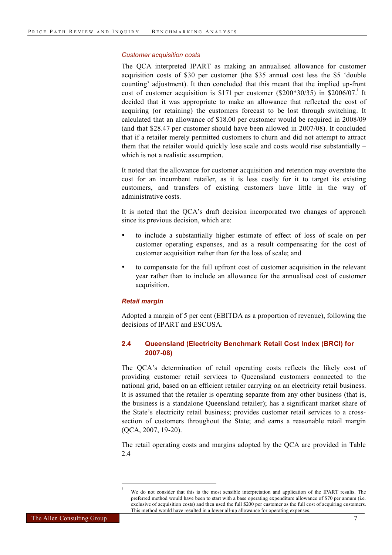#### *Customer acquisition costs*

The QCA interpreted IPART as making an annualised allowance for customer acquisition costs of \$30 per customer (the \$35 annual cost less the \$5 'double counting' adjustment). It then concluded that this meant that the implied up-front cost of customer acquisition is \$171 per customer  $(\$200*30/35)$  in \$2006/07. It decided that it was appropriate to make an allowance that reflected the cost of acquiring (or retaining) the customers forecast to be lost through switching. It calculated that an allowance of \$18.00 per customer would be required in 2008/09 (and that \$28.47 per customer should have been allowed in 2007/08). It concluded that if a retailer merely permitted customers to churn and did not attempt to attract them that the retailer would quickly lose scale and costs would rise substantially – which is not a realistic assumption.

It noted that the allowance for customer acquisition and retention may overstate the cost for an incumbent retailer, as it is less costly for it to target its existing customers, and transfers of existing customers have little in the way of administrative costs.

It is noted that the QCA's draft decision incorporated two changes of approach since its previous decision, which are:

- to include a substantially higher estimate of effect of loss of scale on per customer operating expenses, and as a result compensating for the cost of customer acquisition rather than for the loss of scale; and
- to compensate for the full upfront cost of customer acquisition in the relevant year rather than to include an allowance for the annualised cost of customer acquisition.

#### *Retail margin*

l

Adopted a margin of 5 per cent (EBITDA as a proportion of revenue), following the decisions of **IPART** and **ESCOSA**.

#### **2.4 Queensland (Electricity Benchmark Retail Cost Index (BRCI) for 2007-08)**

The QCA's determination of retail operating costs reflects the likely cost of providing customer retail services to Queensland customers connected to the national grid, based on an efficient retailer carrying on an electricity retail business. It is assumed that the retailer is operating separate from any other business (that is, the business is a standalone Queensland retailer); has a significant market share of the State's electricity retail business; provides customer retail services to a crosssection of customers throughout the State; and earns a reasonable retail margin (QCA, 2007, 19-20).

The retail operating costs and margins adopted by the QCA are provided in Table 2.4

<sup>1</sup> We do not consider that this is the most sensible interpretation and application of the IPART results. The preferred method would have been to start with a base operating expenditure allowance of \$70 per annum (i.e. exclusive of acquisition costs) and then used the full \$200 per customer as the full cost of acquiring customers. This method would have resulted in a lower all-up allowance for operating expenses.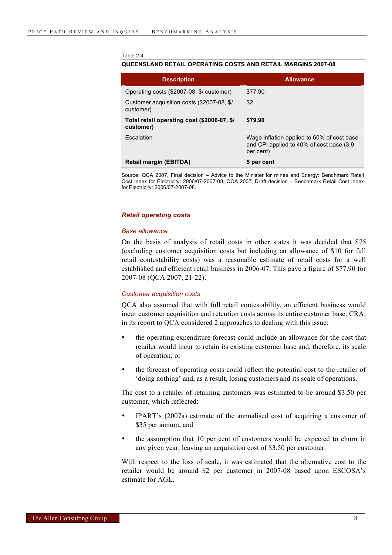#### Table 2.4

#### **QUEENSLAND RETAIL OPERATING COSTS AND RETAIL MARGINS 2007-08**

| <b>Description</b>                                       | <b>Allowance</b>                                                                                     |
|----------------------------------------------------------|------------------------------------------------------------------------------------------------------|
| Operating costs (\$2007-08, \$/ customer)                | \$77.90                                                                                              |
| Customer acquisition costs (\$2007-08, \$/<br>customer)  | \$2                                                                                                  |
| Total retail operating cost (\$2006-07, \$/<br>customer) | \$79.90                                                                                              |
| Escalation                                               | Wage inflation applied to 60% of cost base<br>and CPI applied to 40% of cost base (3.9)<br>per cent) |
| Retail margin (EBITDA)                                   | 5 per cent                                                                                           |

Source: QCA 2007, Final decision – Advice to the Minister for mines and Energy: Benchmark Retail Cost Index for Electricity: 2006/07-2007-08; QCA 2007, Draft decision – Benchmark Retail Cost Index for Electricity: 2006/07-2007-08.

#### *Retail operating costs*

#### *Base allowance*

On the basis of analysis of retail costs in other states it was decided that \$75 (excluding customer acquisition costs but including an allowance of \$10 for full retail contestability costs) was a reasonable estimate of retail costs for a well established and efficient retail business in 2006-07. This gave a figure of \$77.90 for 2007-08 (QCA 2007, 21-22).

#### *Customer acquisition costs*

QCA also assumed that with full retail contestability, an efficient business would incur customer acquisition and retention costs across its entire customer base. CRA, in its report to QCA considered 2 approaches to dealing with this issue:

- the operating expenditure forecast could include an allowance for the cost that retailer would incur to retain its existing customer base and, therefore, its scale of operation; or
- the forecast of operating costs could reflect the potential cost to the retailer of 'doing nothing' and, as a result, losing customers and its scale of operations.

The cost to a retailer of retaining customers was estimated to be around \$3.50 per customer, which reflected:

- IPART's (2007a) estimate of the annualised cost of acquiring a customer of \$35 per annum; and
- the assumption that 10 per cent of customers would be expected to churn in any given year, leaving an acquisition cost of \$3.50 per customer.

With respect to the loss of scale, it was estimated that the alternative cost to the retailer would be around \$2 per customer in 2007-08 based upon ESCOSA's estimate for AGL.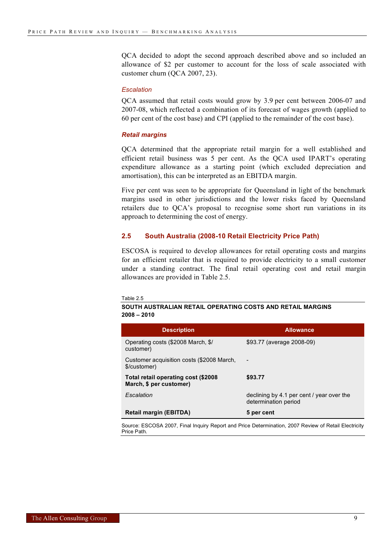QCA decided to adopt the second approach described above and so included an allowance of \$2 per customer to account for the loss of scale associated with customer churn (QCA 2007, 23).

#### *Escalation*

QCA assumed that retail costs would grow by 3.9 per cent between 2006-07 and 2007-08, which reflected a combination of its forecast of wages growth (applied to 60 per cent of the cost base) and CPI (applied to the remainder of the cost base).

#### *Retail margins*

QCA determined that the appropriate retail margin for a well established and efficient retail business was 5 per cent. As the QCA used IPART's operating expenditure allowance as a starting point (which excluded depreciation and amortisation), this can be interpreted as an EBITDA margin.

Five per cent was seen to be appropriate for Queensland in light of the benchmark margins used in other jurisdictions and the lower risks faced by Queensland retailers due to QCA's proposal to recognise some short run variations in its approach to determining the cost of energy.

#### **2.5 South Australia (2008-10 Retail Electricity Price Path)**

ESCOSA is required to develop allowances for retail operating costs and margins for an efficient retailer that is required to provide electricity to a small customer under a standing contract. The final retail operating cost and retail margin allowances are provided in Table 2.5.

Table 2.5

#### **SOUTH AUSTRALIAN RETAIL OPERATING COSTS AND RETAIL MARGINS 2008 – 2010**

| <b>Description</b>                                             | <b>Allowance</b>                                                  |
|----------------------------------------------------------------|-------------------------------------------------------------------|
| Operating costs (\$2008 March, \$/<br>customer)                | \$93.77 (average 2008-09)                                         |
| Customer acquisition costs (\$2008 March,<br>\$/customer)      |                                                                   |
| Total retail operating cost (\$2008<br>March, \$ per customer) | \$93.77                                                           |
| Escalation                                                     | declining by 4.1 per cent / year over the<br>determination period |
| <b>Retail margin (EBITDA)</b>                                  | 5 per cent                                                        |

Source: ESCOSA 2007, Final Inquiry Report and Price Determination, 2007 Review of Retail Electricity Price Path.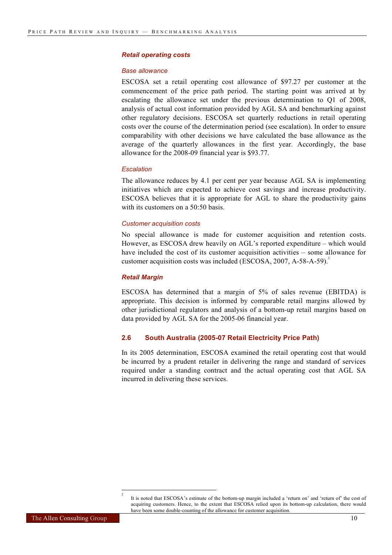#### *Retail operating costs*

#### *Base allowance*

ESCOSA set a retail operating cost allowance of \$97.27 per customer at the commencement of the price path period. The starting point was arrived at by escalating the allowance set under the previous determination to Q1 of 2008, analysis of actual cost information provided by AGL SA and benchmarking against other regulatory decisions. ESCOSA set quarterly reductions in retail operating costs over the course of the determination period (see escalation). In order to ensure comparability with other decisions we have calculated the base allowance as the average of the quarterly allowances in the first year. Accordingly, the base allowance for the 2008-09 financial year is \$93.77.

#### *Escalation*

The allowance reduces by 4.1 per cent per year because AGL SA is implementing initiatives which are expected to achieve cost savings and increase productivity. ESCOSA believes that it is appropriate for AGL to share the productivity gains with its customers on a 50:50 basis.

#### *Customer acquisition costs*

No special allowance is made for customer acquisition and retention costs. However, as ESCOSA drew heavily on AGL's reported expenditure – which would have included the cost of its customer acquisition activities – some allowance for customer acquisition costs was included (ESCOSA,  $2007$ , A-58-A-59).<sup>2</sup>

#### *Retail Margin*

ESCOSA has determined that a margin of 5% of sales revenue (EBITDA) is appropriate. This decision is informed by comparable retail margins allowed by other jurisdictional regulators and analysis of a bottom-up retail margins based on data provided by AGL SA for the 2005-06 financial year.

#### **2.6 South Australia (2005-07 Retail Electricity Price Path)**

In its 2005 determination, ESCOSA examined the retail operating cost that would be incurred by a prudent retailer in delivering the range and standard of services required under a standing contract and the actual operating cost that AGL SA incurred in delivering these services.

 $\frac{1}{2}$ 

It is noted that ESCOSA's estimate of the bottom-up margin included a 'return on' and 'return of' the cost of acquiring customers. Hence, to the extent that ESCOSA relied upon its bottom-up calculation, there would have been some double-counting of the allowance for customer acquisition.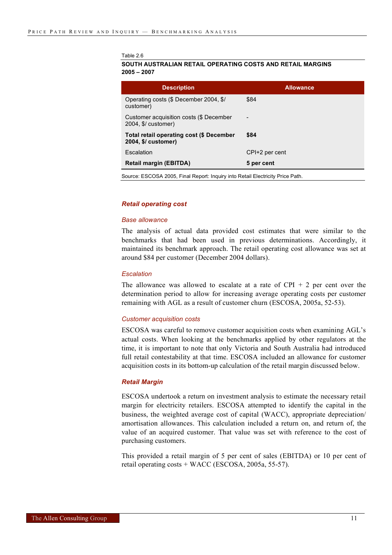#### Table 2.6

**SOUTH AUSTRALIAN RETAIL OPERATING COSTS AND RETAIL MARGINS 2005 – 2007**

| <b>Description</b>                                              | <b>Allowance</b>         |
|-----------------------------------------------------------------|--------------------------|
| Operating costs (\$ December 2004, \$/<br>customer)             | \$84                     |
| Customer acquisition costs (\$ December<br>2004, \$/ customer)  | $\overline{\phantom{a}}$ |
| Total retail operating cost (\$ December<br>2004, \$/ customer) | \$84                     |
| Escalation                                                      | CPI+2 per cent           |
| <b>Retail margin (EBITDA)</b>                                   | 5 per cent               |
|                                                                 |                          |

Source: ESCOSA 2005, Final Report: Inquiry into Retail Electricity Price Path.

#### *Retail operating cost*

#### *Base allowance*

The analysis of actual data provided cost estimates that were similar to the benchmarks that had been used in previous determinations. Accordingly, it maintained its benchmark approach. The retail operating cost allowance was set at around \$84 per customer (December 2004 dollars).

#### *Escalation*

The allowance was allowed to escalate at a rate of  $CPI + 2$  per cent over the determination period to allow for increasing average operating costs per customer remaining with AGL as a result of customer churn (ESCOSA, 2005a, 52-53).

#### *Customer acquisition costs*

ESCOSA was careful to remove customer acquisition costs when examining AGL's actual costs. When looking at the benchmarks applied by other regulators at the time, it is important to note that only Victoria and South Australia had introduced full retail contestability at that time. ESCOSA included an allowance for customer acquisition costs in its bottom-up calculation of the retail margin discussed below.

#### *Retail Margin*

ESCOSA undertook a return on investment analysis to estimate the necessary retail margin for electricity retailers. ESCOSA attempted to identify the capital in the business, the weighted average cost of capital (WACC), appropriate depreciation/ amortisation allowances. This calculation included a return on, and return of, the value of an acquired customer. That value was set with reference to the cost of purchasing customers.

This provided a retail margin of 5 per cent of sales (EBITDA) or 10 per cent of retail operating costs + WACC (ESCOSA, 2005a, 55-57).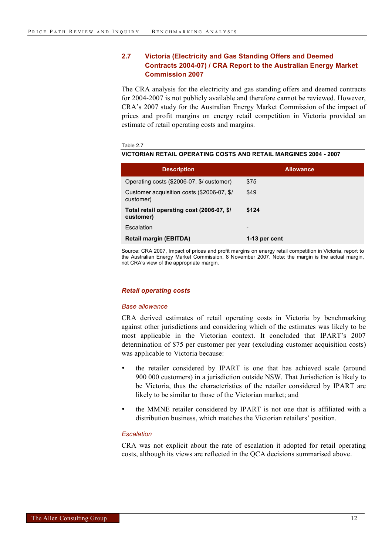#### **2.7 Victoria (Electricity and Gas Standing Offers and Deemed Contracts 2004-07) / CRA Report to the Australian Energy Market Commission 2007**

The CRA analysis for the electricity and gas standing offers and deemed contracts for 2004-2007 is not publicly available and therefore cannot be reviewed. However, CRA's 2007 study for the Australian Energy Market Commission of the impact of prices and profit margins on energy retail competition in Victoria provided an estimate of retail operating costs and margins.

Table 2.7

#### **VICTORIAN RETAIL OPERATING COSTS AND RETAIL MARGINES 2004 - 2007**

| <b>Description</b>                                      | <b>Allowance</b>         |
|---------------------------------------------------------|--------------------------|
| Operating costs (\$2006-07, \$/ customer)               | \$75                     |
| Customer acquisition costs (\$2006-07, \$/<br>customer) | \$49                     |
| Total retail operating cost (2006-07, \$/<br>customer)  | \$124                    |
| Escalation                                              | $\overline{\phantom{0}}$ |
| <b>Retail margin (EBITDA)</b>                           | 1-13 per cent            |

Source: CRA 2007, Impact of prices and profit margins on energy retail competition in Victoria, report to the Australian Energy Market Commission, 8 November 2007. Note: the margin is the actual margin, not CRA's view of the appropriate margin.

#### *Retail operating costs*

#### *Base allowance*

CRA derived estimates of retail operating costs in Victoria by benchmarking against other jurisdictions and considering which of the estimates was likely to be most applicable in the Victorian context. It concluded that IPART's 2007 determination of \$75 per customer per year (excluding customer acquisition costs) was applicable to Victoria because:

- the retailer considered by IPART is one that has achieved scale (around 900 000 customers) in a jurisdiction outside NSW. That Jurisdiction is likely to be Victoria, thus the characteristics of the retailer considered by IPART are likely to be similar to those of the Victorian market; and
- the MMNE retailer considered by IPART is not one that is affiliated with a distribution business, which matches the Victorian retailers' position.

#### *Escalation*

CRA was not explicit about the rate of escalation it adopted for retail operating costs, although its views are reflected in the QCA decisions summarised above.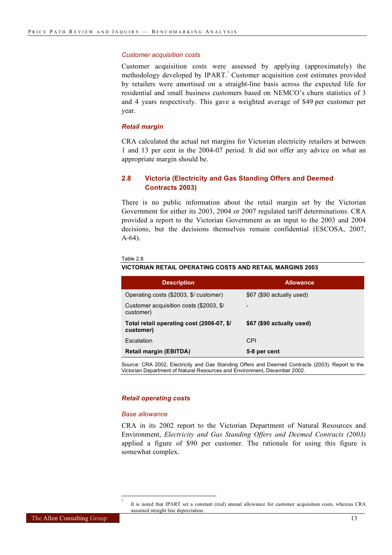#### *Customer acquisition costs*

Customer acquisition costs were assessed by applying (approximately) the methodology developed by IPART.<sup>3</sup> Customer acquisition cost estimates provided by retailers were amortised on a straight-line basis across the expected life for residential and small business customers based on NEMCO's churn statistics of 3 and 4 years respectively. This gave a weighted average of \$49 per customer per year.

#### *Retail margin*

CRA calculated the actual net margins for Victorian electricity retailers at between 1 and 13 per cent in the 2004-07 period. It did not offer any advice on what an appropriate margin should be.

#### **2.8 Victoria (Electricity and Gas Standing Offers and Deemed Contracts 2003)**

There is no public information about the retail margin set by the Victorian Government for either its 2003, 2004 or 2007 regulated tariff determinations. CRA provided a report to the Victorian Government as an input to the 2003 and 2004 decisions, but the decisions themselves remain confidential (ESCOSA, 2007, A-64).

#### Table 2.8

**VICTORIAN RETAIL OPERATING COSTS AND RETAIL MARGINS 2003**

| <b>Description</b>                                     | <b>Allowance</b>          |
|--------------------------------------------------------|---------------------------|
| Operating costs (\$2003, \$/ customer)                 | \$67 (\$90 actually used) |
| Customer acquisition costs (\$2003, \$/<br>customer)   |                           |
| Total retail operating cost (2006-07, \$/<br>customer) | \$67 (\$90 actually used) |
| Escalation                                             | CPI                       |
| <b>Retail margin (EBITDA)</b>                          | 5-8 per cent              |

Source: CRA 2002, Electricity and Gas Standing Offers and Deemed Contracts (2003), Report to the Victorian Department of Natural Resources and Environment, December 2002.

#### *Retail operating costs*

#### *Base allowance*

l 3

CRA in its 2002 report to the Victorian Department of Natural Resources and Environment, *Electricity and Gas Standing Offers and Deemed Contracts (2003)* applied a figure of \$90 per customer. The rationale for using this figure is somewhat complex.

It is noted that IPART set a constant (real) annual allowance for customer acquisition costs, whereas CRA assumed straight line depreciation.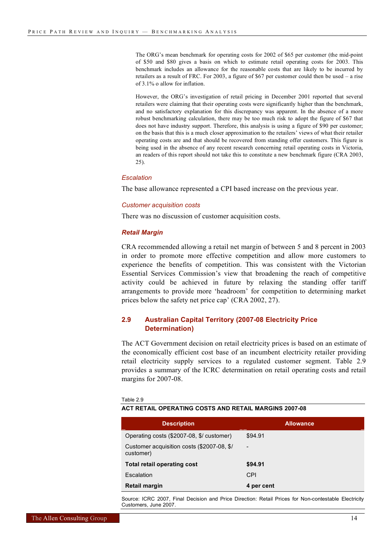The ORG's mean benchmark for operating costs for 2002 of \$65 per customer (the mid-point of \$50 and \$80 gives a basis on which to estimate retail operating costs for 2003. This benchmark includes an allowance for the reasonable costs that are likely to be incurred by retailers as a result of FRC. For 2003, a figure of \$67 per customer could then be used – a rise of 3.1% o allow for inflation.

However, the ORG's investigation of retail pricing in December 2001 reported that several retailers were claiming that their operating costs were significantly higher than the benchmark, and no satisfactory explanation for this discrepancy was apparent. In the absence of a more robust benchmarking calculation, there may be too much risk to adopt the figure of \$67 that does not have industry support. Therefore, this analysis is using a figure of \$90 per customer; on the basis that this is a much closer approximation to the retailers' views of what their retailer operating costs are and that should be recovered from standing offer customers. This figure is being used in the absence of any recent research concerning retail operating costs in Victoria, an readers of this report should not take this to constitute a new benchmark figure (CRA 2003, 25).

#### *Escalation*

The base allowance represented a CPI based increase on the previous year.

#### *Customer acquisition costs*

There was no discussion of customer acquisition costs.

#### *Retail Margin*

CRA recommended allowing a retail net margin of between 5 and 8 percent in 2003 in order to promote more effective competition and allow more customers to experience the benefits of competition. This was consistent with the Victorian Essential Services Commission's view that broadening the reach of competitive activity could be achieved in future by relaxing the standing offer tariff arrangements to provide more 'headroom' for competition to determining market prices below the safety net price cap' (CRA 2002, 27).

#### **2.9 Australian Capital Territory (2007-08 Electricity Price Determination)**

The ACT Government decision on retail electricity prices is based on an estimate of the economically efficient cost base of an incumbent electricity retailer providing retail electricity supply services to a regulated customer segment. Table 2.9 provides a summary of the ICRC determination on retail operating costs and retail margins for 2007-08.

| <b>Description</b>                                      | <b>Allowance</b>         |
|---------------------------------------------------------|--------------------------|
| Operating costs (\$2007-08, \$/ customer)               | \$94.91                  |
| Customer acquisition costs (\$2007-08, \$/<br>customer) | $\overline{\phantom{0}}$ |
| <b>Total retail operating cost</b>                      | \$94.91                  |
| Escalation                                              | <b>CPI</b>               |
| <b>Retail margin</b>                                    | 4 per cent               |

Table 2.9

**ACT RETAIL OPERATING COSTS AND RETAIL MARGINS 2007-08**

Source: ICRC 2007, Final Decision and Price Direction: Retail Prices for Non-contestable Electricity Customers, June 2007.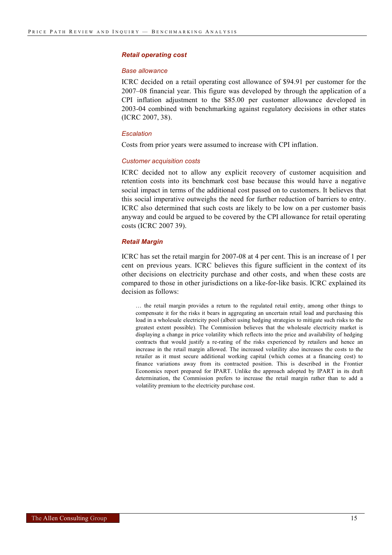#### *Retail operating cost*

#### *Base allowance*

ICRC decided on a retail operating cost allowance of \$94.91 per customer for the 2007–08 financial year. This figure was developed by through the application of a CPI inflation adjustment to the \$85.00 per customer allowance developed in 2003-04 combined with benchmarking against regulatory decisions in other states (ICRC 2007, 38).

#### *Escalation*

Costs from prior years were assumed to increase with CPI inflation.

#### *Customer acquisition costs*

ICRC decided not to allow any explicit recovery of customer acquisition and retention costs into its benchmark cost base because this would have a negative social impact in terms of the additional cost passed on to customers. It believes that this social imperative outweighs the need for further reduction of barriers to entry. ICRC also determined that such costs are likely to be low on a per customer basis anyway and could be argued to be covered by the CPI allowance for retail operating costs (ICRC 2007 39).

#### *Retail Margin*

ICRC has set the retail margin for 2007-08 at 4 per cent. This is an increase of 1 per cent on previous years. ICRC believes this figure sufficient in the context of its other decisions on electricity purchase and other costs, and when these costs are compared to those in other jurisdictions on a like-for-like basis. ICRC explained its decision as follows:

… the retail margin provides a return to the regulated retail entity, among other things to compensate it for the risks it bears in aggregating an uncertain retail load and purchasing this load in a wholesale electricity pool (albeit using hedging strategies to mitigate such risks to the greatest extent possible). The Commission believes that the wholesale electricity market is displaying a change in price volatility which reflects into the price and availability of hedging contracts that would justify a re-rating of the risks experienced by retailers and hence an increase in the retail margin allowed. The increased volatility also increases the costs to the retailer as it must secure additional working capital (which comes at a financing cost) to finance variations away from its contracted position. This is described in the Frontier Economics report prepared for IPART. Unlike the approach adopted by IPART in its draft determination, the Commission prefers to increase the retail margin rather than to add a volatility premium to the electricity purchase cost.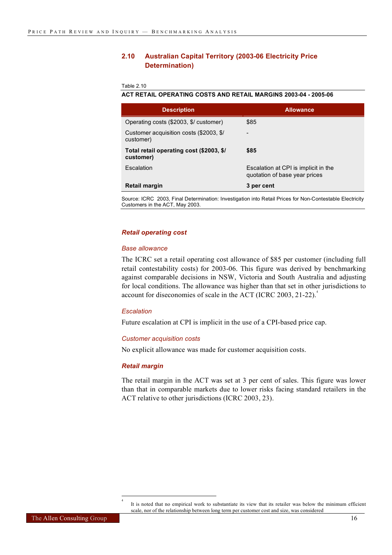#### **2.10 Australian Capital Territory (2003-06 Electricity Price Determination)**

Table 2.10

#### **ACT RETAIL OPERATING COSTS AND RETAIL MARGINS 2003-04 - 2005-06**

| <b>Description</b>                                    | <b>Allowance</b>                                                      |
|-------------------------------------------------------|-----------------------------------------------------------------------|
| Operating costs (\$2003, \$/ customer)                | \$85                                                                  |
| Customer acquisition costs (\$2003, \$/<br>customer)  |                                                                       |
| Total retail operating cost (\$2003, \$/<br>customer) | \$85                                                                  |
| Escalation                                            | Escalation at CPI is implicit in the<br>quotation of base year prices |
| Retail margin                                         | 3 per cent                                                            |

Source: ICRC 2003, Final Determination: Investigation into Retail Prices for Non-Contestable Electricity Customers in the ACT, May 2003.

#### *Retail operating cost*

#### *Base allowance*

The ICRC set a retail operating cost allowance of \$85 per customer (including full retail contestability costs) for 2003-06. This figure was derived by benchmarking against comparable decisions in NSW, Victoria and South Australia and adjusting for local conditions. The allowance was higher than that set in other jurisdictions to account for diseconomies of scale in the ACT (ICRC 2003, 21-22).<sup>4</sup>

#### *Escalation*

Future escalation at CPI is implicit in the use of a CPI-based price cap.

#### *Customer acquisition costs*

No explicit allowance was made for customer acquisition costs.

#### *Retail margin*

l 4

The retail margin in the ACT was set at 3 per cent of sales. This figure was lower than that in comparable markets due to lower risks facing standard retailers in the ACT relative to other jurisdictions (ICRC 2003, 23).

It is noted that no empirical work to substantiate its view that its retailer was below the minimum efficient scale, nor of the relationship between long term per customer cost and size, was considered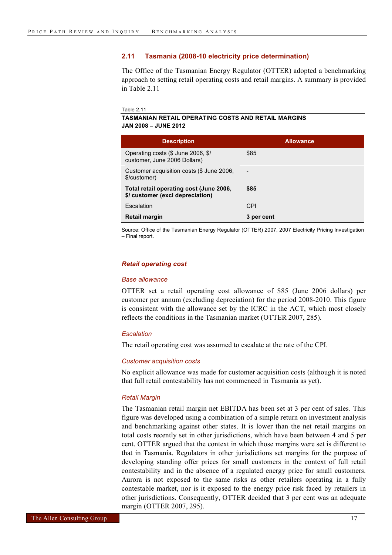#### **2.11 Tasmania (2008-10 electricity price determination)**

The Office of the Tasmanian Energy Regulator (OTTER) adopted a benchmarking approach to setting retail operating costs and retail margins. A summary is provided in Table 2.11

```
Table 2.11
```
#### **TASMANIAN RETAIL OPERATING COSTS AND RETAIL MARGINS JAN 2008 – JUNE 2012**

| <b>Description</b>                                                          | <b>Allowance</b> |
|-----------------------------------------------------------------------------|------------------|
| Operating costs (\$ June 2006, \$/<br>customer, June 2006 Dollars)          | \$85             |
| Customer acquisition costs (\$ June 2006,<br>\$/customer)                   |                  |
| Total retail operating cost (June 2006,<br>\$/ customer (excl depreciation) | \$85             |
| Escalation                                                                  | <b>CPI</b>       |
| Retail margin                                                               | 3 per cent       |

Source: Office of the Tasmanian Energy Regulator (OTTER) 2007, 2007 Electricity Pricing Investigation – Final report.

#### *Retail operating cost*

#### *Base allowance*

OTTER set a retail operating cost allowance of \$85 (June 2006 dollars) per customer per annum (excluding depreciation) for the period 2008-2010. This figure is consistent with the allowance set by the ICRC in the ACT, which most closely reflects the conditions in the Tasmanian market (OTTER 2007, 285).

#### *Escalation*

The retail operating cost was assumed to escalate at the rate of the CPI.

#### *Customer acquisition costs*

No explicit allowance was made for customer acquisition costs (although it is noted that full retail contestability has not commenced in Tasmania as yet).

#### *Retail Margin*

The Tasmanian retail margin net EBITDA has been set at 3 per cent of sales. This figure was developed using a combination of a simple return on investment analysis and benchmarking against other states. It is lower than the net retail margins on total costs recently set in other jurisdictions, which have been between 4 and 5 per cent. OTTER argued that the context in which those margins were set is different to that in Tasmania. Regulators in other jurisdictions set margins for the purpose of developing standing offer prices for small customers in the context of full retail contestability and in the absence of a regulated energy price for small customers. Aurora is not exposed to the same risks as other retailers operating in a fully contestable market, nor is it exposed to the energy price risk faced by retailers in other jurisdictions. Consequently, OTTER decided that 3 per cent was an adequate margin (OTTER 2007, 295).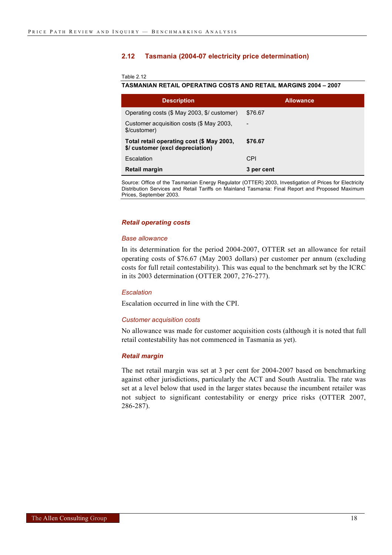#### **2.12 Tasmania (2004-07 electricity price determination)**

Table 2.12

#### **TASMANIAN RETAIL OPERATING COSTS AND RETAIL MARGINS 2004 – 2007**

| <b>Description</b>                                                            | <b>Allowance</b>         |
|-------------------------------------------------------------------------------|--------------------------|
| Operating costs (\$ May 2003, \$/ customer)                                   | \$76.67                  |
| Customer acquisition costs (\$ May 2003,<br>\$/customer)                      | $\overline{\phantom{0}}$ |
| Total retail operating cost (\$ May 2003,<br>\$/ customer (excl depreciation) | \$76.67                  |
| Escalation                                                                    | <b>CPI</b>               |
| Retail margin                                                                 | 3 per cent               |

Source: Office of the Tasmanian Energy Regulator (OTTER) 2003, Investigation of Prices for Electricity Distribution Services and Retail Tariffs on Mainland Tasmania: Final Report and Proposed Maximum Prices, September 2003.

#### *Retail operating costs*

#### *Base allowance*

In its determination for the period 2004-2007, OTTER set an allowance for retail operating costs of \$76.67 (May 2003 dollars) per customer per annum (excluding costs for full retail contestability). This was equal to the benchmark set by the ICRC in its 2003 determination (OTTER 2007, 276-277).

#### *Escalation*

Escalation occurred in line with the CPI.

#### *Customer acquisition costs*

No allowance was made for customer acquisition costs (although it is noted that full retail contestability has not commenced in Tasmania as yet).

#### *Retail margin*

The net retail margin was set at 3 per cent for 2004-2007 based on benchmarking against other jurisdictions, particularly the ACT and South Australia. The rate was set at a level below that used in the larger states because the incumbent retailer was not subject to significant contestability or energy price risks (OTTER 2007, 286-287).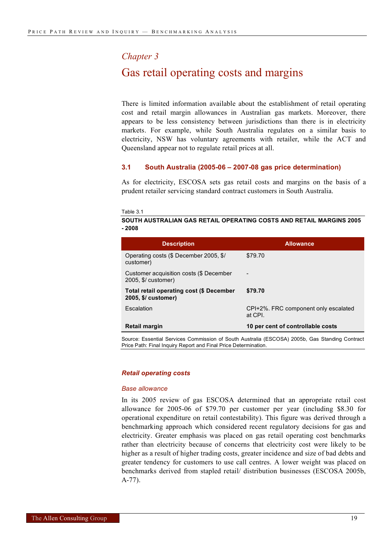#### *Chapter 3*

### Gas retail operating costs and margins

There is limited information available about the establishment of retail operating cost and retail margin allowances in Australian gas markets. Moreover, there appears to be less consistency between jurisdictions than there is in electricity markets. For example, while South Australia regulates on a similar basis to electricity, NSW has voluntary agreements with retailer, while the ACT and Queensland appear not to regulate retail prices at all.

#### **3.1 South Australia (2005-06 – 2007-08 gas price determination)**

As for electricity, ESCOSA sets gas retail costs and margins on the basis of a prudent retailer servicing standard contract customers in South Australia.

Table 3.1

#### **SOUTH AUSTRALIAN GAS RETAIL OPERATING COSTS AND RETAIL MARGINS 2005 - 2008**

| <b>Description</b>                                                     | <b>Allowance</b>                                |
|------------------------------------------------------------------------|-------------------------------------------------|
| Operating costs (\$ December 2005, \$/<br>customer)                    | \$79.70                                         |
| Customer acquisition costs (\$ December<br>2005, \$/ customer)         |                                                 |
| <b>Total retail operating cost (\$ December</b><br>2005, \$/ customer) | \$79.70                                         |
| Escalation                                                             | CPI+2%. FRC component only escalated<br>at CPI. |
| Retail margin                                                          | 10 per cent of controllable costs               |
|                                                                        |                                                 |

Source: Essential Services Commission of South Australia (ESCOSA) 2005b, Gas Standing Contract Price Path: Final Inquiry Report and Final Price Determination.

#### *Retail operating costs*

#### *Base allowance*

In its 2005 review of gas ESCOSA determined that an appropriate retail cost allowance for 2005-06 of \$79.70 per customer per year (including \$8.30 for operational expenditure on retail contestability). This figure was derived through a benchmarking approach which considered recent regulatory decisions for gas and electricity. Greater emphasis was placed on gas retail operating cost benchmarks rather than electricity because of concerns that electricity cost were likely to be higher as a result of higher trading costs, greater incidence and size of bad debts and greater tendency for customers to use call centres. A lower weight was placed on benchmarks derived from stapled retail/ distribution businesses (ESCOSA 2005b, A-77).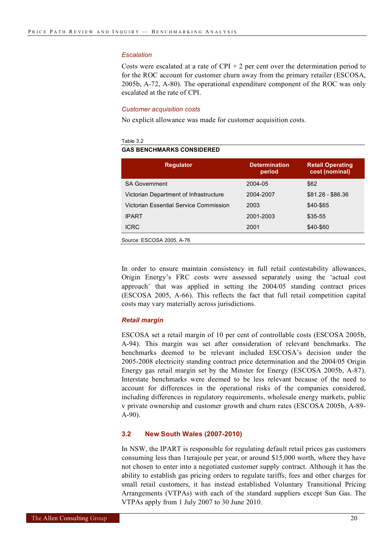#### *Escalation*

Costs were escalated at a rate of  $CPI + 2$  per cent over the determination period to for the ROC account for customer churn away from the primary retailer (ESCOSA, 2005b, A-72, A-80). The operational expenditure component of the ROC was only escalated at the rate of CPI.

#### *Customer acquisition costs*

No explicit allowance was made for customer acquisition costs.

#### Table 3.2

#### **GAS BENCHMARKS CONSIDERED**

| <b>Regulator</b>                       | <b>Determination</b><br>period | <b>Retail Operating</b><br>cost (nominal) |
|----------------------------------------|--------------------------------|-------------------------------------------|
| <b>SA Government</b>                   | 2004-05                        | \$62                                      |
| Victorian Department of Infrastructure | 2004-2007                      | $$81.28 - $86.36$                         |
| Victorian Essential Service Commission | 2003                           | \$40-\$65                                 |
| <b>IPART</b>                           | 2001-2003                      | \$35-55                                   |
| <b>ICRC</b>                            | 2001                           | \$40-\$60                                 |
| Source: ESCOSA 2005, A-76              |                                |                                           |

In order to ensure maintain consistency in full retail contestability allowances, Origin Energy's FRC costs were assessed separately using the 'actual cost approach' that was applied in setting the 2004/05 standing contract prices (ESCOSA 2005, A-66). This reflects the fact that full retail competition capital costs may vary materially across jurisdictions.

#### *Retail margin*

ESCOSA set a retail margin of 10 per cent of controllable costs (ESCOSA 2005b, A-94). This margin was set after consideration of relevant benchmarks. The benchmarks deemed to be relevant included ESCOSA's decision under the 2005-2008 electricity standing contract price determination and the 2004/05 Origin Energy gas retail margin set by the Minster for Energy (ESCOSA 2005b, A-87). Interstate benchmarks were deemed to be less relevant because of the need to account for differences in the operational risks of the companies considered, including differences in regulatory requirements, wholesale energy markets, public v private ownership and customer growth and churn rates (ESCOSA 2005b, A-89- A-90).

#### **3.2 New South Wales (2007-2010)**

In NSW, the IPART is responsible for regulating default retail prices gas customers consuming less than 1terajoule per year, or around \$15,000 worth, where they have not chosen to enter into a negotiated customer supply contract. Although it has the ability to establish gas pricing orders to regulate tariffs, fees and other charges for small retail customers, it has instead established Voluntary Transitional Pricing Arrangements (VTPAs) with each of the standard suppliers except Sun Gas. The VTPAs apply from 1 July 2007 to 30 June 2010.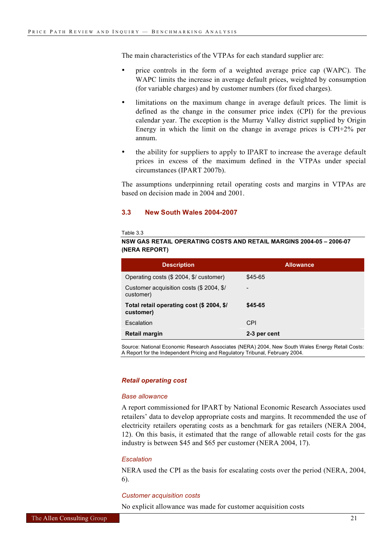The main characteristics of the VTPAs for each standard supplier are:

- price controls in the form of a weighted average price cap (WAPC). The WAPC limits the increase in average default prices, weighted by consumption (for variable charges) and by customer numbers (for fixed charges).
- limitations on the maximum change in average default prices. The limit is defined as the change in the consumer price index (CPI) for the previous calendar year. The exception is the Murray Valley district supplied by Origin Energy in which the limit on the change in average prices is CPI+2% per annum.
- the ability for suppliers to apply to IPART to increase the average default prices in excess of the maximum defined in the VTPAs under special circumstances (IPART 2007b).

The assumptions underpinning retail operating costs and margins in VTPAs are based on decision made in 2004 and 2001.

#### **3.3 New South Wales 2004-2007**

Table 3.3

#### **NSW GAS RETAIL OPERATING COSTS AND RETAIL MARGINS 2004-05 – 2006-07 (NERA REPORT)**

| <b>Description</b>                                     | <b>Allowance</b>         |  |  |  |  |
|--------------------------------------------------------|--------------------------|--|--|--|--|
| Operating costs (\$ 2004, \$/ customer)                | \$45-65                  |  |  |  |  |
| Customer acquisition costs (\$ 2004, \$/<br>customer)  | $\overline{\phantom{0}}$ |  |  |  |  |
| Total retail operating cost (\$ 2004, \$/<br>customer) | \$45-65                  |  |  |  |  |
| Escalation                                             | CPI                      |  |  |  |  |
| <b>Retail margin</b>                                   | 2-3 per cent             |  |  |  |  |

Source: National Economic Research Associates (NERA) 2004, New South Wales Energy Retail Costs: A Report for the Independent Pricing and Regulatory Tribunal, February 2004.

#### *Retail operating cost*

#### *Base allowance*

A report commissioned for IPART by National Economic Research Associates used retailers' data to develop appropriate costs and margins. It recommended the use of electricity retailers operating costs as a benchmark for gas retailers (NERA 2004, 12). On this basis, it estimated that the range of allowable retail costs for the gas industry is between \$45 and \$65 per customer (NERA 2004, 17).

#### *Escalation*

NERA used the CPI as the basis for escalating costs over the period (NERA, 2004, 6).

#### *Customer acquisition costs*

No explicit allowance was made for customer acquisition costs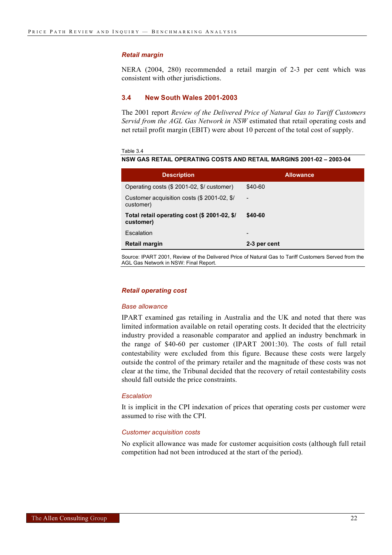#### *Retail margin*

NERA (2004, 280) recommended a retail margin of 2-3 per cent which was consistent with other jurisdictions.

#### **3.4 New South Wales 2001-2003**

The 2001 report *Review of the Delivered Price of Natural Gas to Tariff Customers Servid from the AGL Gas Network in NSW* estimated that retail operating costs and net retail profit margin (EBIT) were about 10 percent of the total cost of supply.

Table 3.4

**NSW GAS RETAIL OPERATING COSTS AND RETAIL MARGINS 2001-02 – 2003-04**

| <b>Description</b>                                        | <b>Allowance</b>             |
|-----------------------------------------------------------|------------------------------|
| Operating costs (\$ 2001-02, \$/ customer)                | \$40-60                      |
| Customer acquisition costs (\$ 2001-02, \$/<br>customer)  | $\qquad \qquad \blacksquare$ |
| Total retail operating cost (\$ 2001-02, \$/<br>customer) | \$40-60                      |
| Escalation                                                | $\overline{\phantom{0}}$     |
| Retail margin                                             | 2-3 per cent                 |

Source: IPART 2001, Review of the Delivered Price of Natural Gas to Tariff Customers Served from the AGL Gas Network in NSW: Final Report.

#### *Retail operating cost*

#### *Base allowance*

IPART examined gas retailing in Australia and the UK and noted that there was limited information available on retail operating costs. It decided that the electricity industry provided a reasonable comparator and applied an industry benchmark in the range of \$40-60 per customer (IPART 2001:30). The costs of full retail contestability were excluded from this figure. Because these costs were largely outside the control of the primary retailer and the magnitude of these costs was not clear at the time, the Tribunal decided that the recovery of retail contestability costs should fall outside the price constraints.

#### *Escalation*

It is implicit in the CPI indexation of prices that operating costs per customer were assumed to rise with the CPI.

#### *Customer acquisition costs*

No explicit allowance was made for customer acquisition costs (although full retail competition had not been introduced at the start of the period).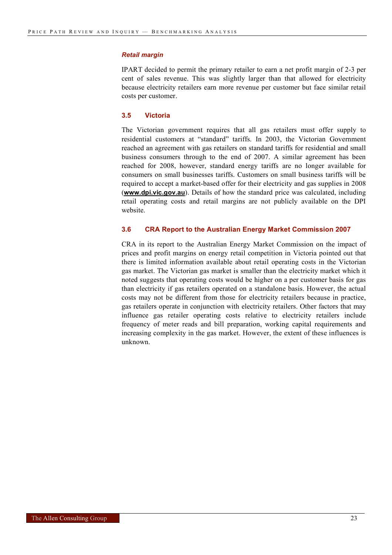#### *Retail margin*

IPART decided to permit the primary retailer to earn a net profit margin of 2-3 per cent of sales revenue. This was slightly larger than that allowed for electricity because electricity retailers earn more revenue per customer but face similar retail costs per customer.

#### **3.5 Victoria**

The Victorian government requires that all gas retailers must offer supply to residential customers at "standard" tariffs. In 2003, the Victorian Government reached an agreement with gas retailers on standard tariffs for residential and small business consumers through to the end of 2007. A similar agreement has been reached for 2008, however, standard energy tariffs are no longer available for consumers on small businesses tariffs. Customers on small business tariffs will be required to accept a market-based offer for their electricity and gas supplies in 2008 (**www.dpi.vic.gov.au**). Details of how the standard price was calculated, including retail operating costs and retail margins are not publicly available on the DPI website.

#### **3.6 CRA Report to the Australian Energy Market Commission 2007**

CRA in its report to the Australian Energy Market Commission on the impact of prices and profit margins on energy retail competition in Victoria pointed out that there is limited information available about retail operating costs in the Victorian gas market. The Victorian gas market is smaller than the electricity market which it noted suggests that operating costs would be higher on a per customer basis for gas than electricity if gas retailers operated on a standalone basis. However, the actual costs may not be different from those for electricity retailers because in practice, gas retailers operate in conjunction with electricity retailers. Other factors that may influence gas retailer operating costs relative to electricity retailers include frequency of meter reads and bill preparation, working capital requirements and increasing complexity in the gas market. However, the extent of these influences is unknown.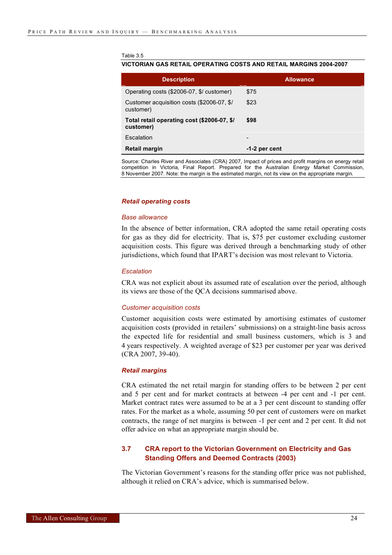#### Table 3.5

#### **VICTORIAN GAS RETAIL OPERATING COSTS AND RETAIL MARGINS 2004-2007**

| <b>Description</b>                                       | <b>Allowance</b> |
|----------------------------------------------------------|------------------|
| Operating costs (\$2006-07, \$/ customer)                | \$75             |
| Customer acquisition costs (\$2006-07, \$/<br>customer)  | \$23             |
| Total retail operating cost (\$2006-07, \$/<br>customer) | \$98             |
| Escalation                                               | -                |
| <b>Retail margin</b>                                     | $-1-2$ per cent  |

Source: Charles River and Associates (CRA) 2007, Impact of prices and profit margins on energy retail competition in Victoria, Final Report. Prepared for the Australian Energy Market Commission, 8 November 2007. Note: the margin is the estimated margin, not its view on the appropriate margin.

#### *Retail operating costs*

#### *Base allowance*

In the absence of better information, CRA adopted the same retail operating costs for gas as they did for electricity. That is, \$75 per customer excluding customer acquisition costs. This figure was derived through a benchmarking study of other jurisdictions, which found that IPART's decision was most relevant to Victoria.

#### *Escalation*

CRA was not explicit about its assumed rate of escalation over the period, although its views are those of the QCA decisions summarised above.

#### *Customer acquisition costs*

Customer acquisition costs were estimated by amortising estimates of customer acquisition costs (provided in retailers' submissions) on a straight-line basis across the expected life for residential and small business customers, which is 3 and 4 years respectively. A weighted average of \$23 per customer per year was derived (CRA 2007, 39-40).

#### *Retail margins*

CRA estimated the net retail margin for standing offers to be between 2 per cent and 5 per cent and for market contracts at between -4 per cent and -1 per cent. Market contract rates were assumed to be at a 3 per cent discount to standing offer rates. For the market as a whole, assuming 50 per cent of customers were on market contracts, the range of net margins is between -1 per cent and 2 per cent. It did not offer advice on what an appropriate margin should be.

#### **3.7 CRA report to the Victorian Government on Electricity and Gas Standing Offers and Deemed Contracts (2003)**

The Victorian Government's reasons for the standing offer price was not published, although it relied on CRA's advice, which is summarised below.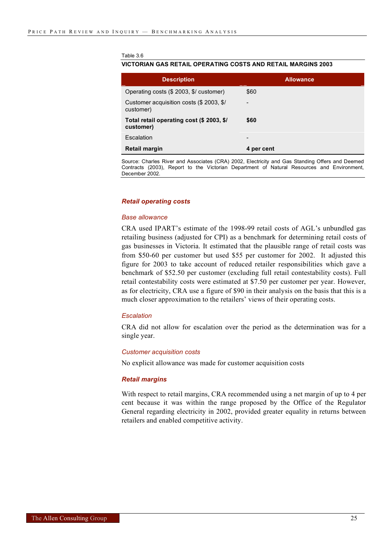#### Table 3.6

#### **VICTORIAN GAS RETAIL OPERATING COSTS AND RETAIL MARGINS 2003**

| <b>Description</b>                                     | <b>Allowance</b>         |
|--------------------------------------------------------|--------------------------|
| Operating costs (\$ 2003, \$/ customer)                | \$60                     |
| Customer acquisition costs (\$ 2003, \$/<br>customer)  | -                        |
| Total retail operating cost (\$ 2003, \$/<br>customer) | \$60                     |
| Escalation                                             | $\overline{\phantom{0}}$ |
| Retail margin                                          | 4 per cent               |

Source: Charles River and Associates (CRA) 2002, Electricity and Gas Standing Offers and Deemed Contracts (2003), Report to the Victorian Department of Natural Resources and Environment, December 2002.

#### *Retail operating costs*

#### *Base allowance*

CRA used IPART's estimate of the 1998-99 retail costs of AGL's unbundled gas retailing business (adjusted for CPI) as a benchmark for determining retail costs of gas businesses in Victoria. It estimated that the plausible range of retail costs was from \$50-60 per customer but used \$55 per customer for 2002. It adjusted this figure for 2003 to take account of reduced retailer responsibilities which gave a benchmark of \$52.50 per customer (excluding full retail contestability costs). Full retail contestability costs were estimated at \$7.50 per customer per year. However, as for electricity, CRA use a figure of \$90 in their analysis on the basis that this is a much closer approximation to the retailers' views of their operating costs.

#### *Escalation*

CRA did not allow for escalation over the period as the determination was for a single year.

#### *Customer acquisition costs*

No explicit allowance was made for customer acquisition costs

#### *Retail margins*

With respect to retail margins, CRA recommended using a net margin of up to 4 per cent because it was within the range proposed by the Office of the Regulator General regarding electricity in 2002, provided greater equality in returns between retailers and enabled competitive activity.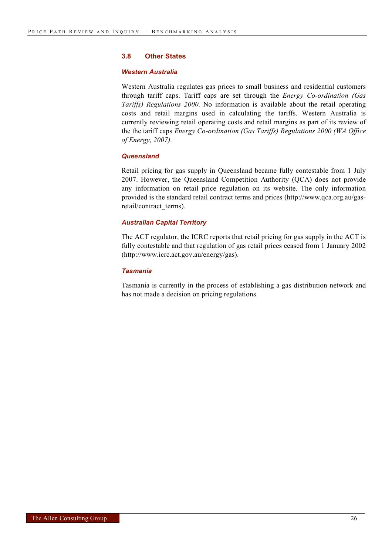#### **3.8 Other States**

#### *Western Australia*

Western Australia regulates gas prices to small business and residential customers through tariff caps. Tariff caps are set through the *Energy Co-ordination (Gas Tariffs) Regulations 2000.* No information is available about the retail operating costs and retail margins used in calculating the tariffs. Western Australia is currently reviewing retail operating costs and retail margins as part of its review of the the tariff caps *Energy Co-ordination (Gas Tariffs) Regulations 2000 (WA Office of Energy, 2007).*

#### *Queensland*

Retail pricing for gas supply in Queensland became fully contestable from 1 July 2007. However, the Queensland Competition Authority (QCA) does not provide any information on retail price regulation on its website. The only information provided is the standard retail contract terms and prices (http://www.qca.org.au/gasretail/contract\_terms).

#### *Australian Capital Territory*

The ACT regulator, the ICRC reports that retail pricing for gas supply in the ACT is fully contestable and that regulation of gas retail prices ceased from 1 January 2002 (http://www.icrc.act.gov.au/energy/gas).

#### *Tasmania*

Tasmania is currently in the process of establishing a gas distribution network and has not made a decision on pricing regulations.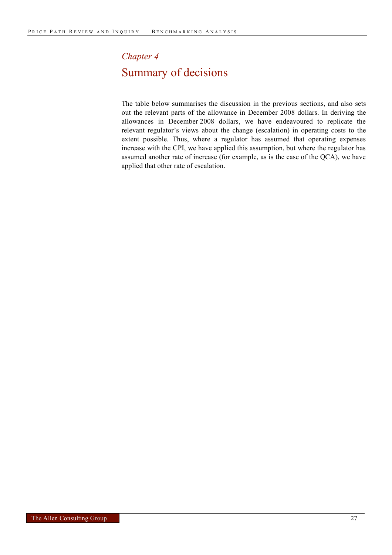# *Chapter 4* Summary of decisions

The table below summarises the discussion in the previous sections, and also sets out the relevant parts of the allowance in December 2008 dollars. In deriving the allowances in December 2008 dollars, we have endeavoured to replicate the relevant regulator's views about the change (escalation) in operating costs to the extent possible. Thus, where a regulator has assumed that operating expenses increase with the CPI, we have applied this assumption, but where the regulator has assumed another rate of increase (for example, as is the case of the QCA), we have applied that other rate of escalation.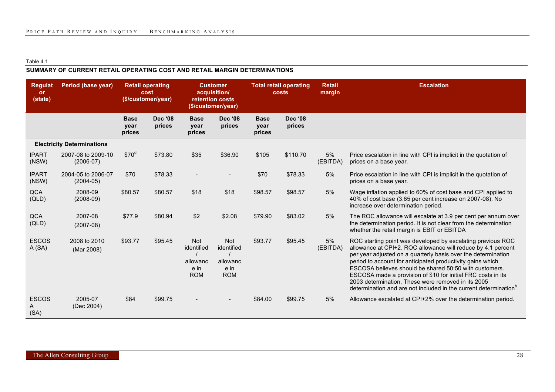#### Table 4.1

#### **SUMMARY OF CURRENT RETAIL OPERATING COST AND RETAIL MARGIN DETERMINATIONS**

| <b>Regulat</b><br>or<br>(state) | Period (base year)                  | <b>Retail operating</b><br>cost<br>(\$/customer/year) |                          |                                                            | <b>Customer</b><br>acquisition/<br>retention costs<br>(\$/customer/year) |                               | <b>Total retail operating</b><br>costs |                |                                                                                                                                                                                                                                                                                                                                                                                                                                                                                                                |  | <b>Escalation</b> |
|---------------------------------|-------------------------------------|-------------------------------------------------------|--------------------------|------------------------------------------------------------|--------------------------------------------------------------------------|-------------------------------|----------------------------------------|----------------|----------------------------------------------------------------------------------------------------------------------------------------------------------------------------------------------------------------------------------------------------------------------------------------------------------------------------------------------------------------------------------------------------------------------------------------------------------------------------------------------------------------|--|-------------------|
|                                 |                                     | <b>Base</b><br>year<br>prices                         | <b>Dec '08</b><br>prices | <b>Base</b><br>year<br>prices                              | <b>Dec '08</b><br>prices                                                 | <b>Base</b><br>year<br>prices | <b>Dec '08</b><br>prices               |                |                                                                                                                                                                                                                                                                                                                                                                                                                                                                                                                |  |                   |
|                                 | <b>Electricity Determinations</b>   |                                                       |                          |                                                            |                                                                          |                               |                                        |                |                                                                                                                                                                                                                                                                                                                                                                                                                                                                                                                |  |                   |
| <b>IPART</b><br>(NSW)           | 2007-08 to 2009-10<br>$(2006-07)$   | \$70 <sup>d</sup>                                     | \$73.80                  | \$35                                                       | \$36.90                                                                  | \$105                         | \$110.70                               | 5%<br>(EBITDA) | Price escalation in line with CPI is implicit in the quotation of<br>prices on a base year.                                                                                                                                                                                                                                                                                                                                                                                                                    |  |                   |
| <b>IPART</b><br>(NSW)           | 2004-05 to 2006-07<br>$(2004 - 05)$ | \$70                                                  | \$78.33                  |                                                            |                                                                          | \$70                          | \$78.33                                | 5%             | Price escalation in line with CPI is implicit in the quotation of<br>prices on a base year.                                                                                                                                                                                                                                                                                                                                                                                                                    |  |                   |
| <b>QCA</b><br>(QLD)             | 2008-09<br>$(2008-09)$              | \$80.57                                               | \$80.57                  | \$18                                                       | \$18                                                                     | \$98.57                       | \$98.57                                | 5%             | Wage inflation applied to 60% of cost base and CPI applied to<br>40% of cost base (3.65 per cent increase on 2007-08). No<br>increase over determination period.                                                                                                                                                                                                                                                                                                                                               |  |                   |
| <b>QCA</b><br>(QLD)             | 2007-08<br>$(2007-08)$              | \$77.9                                                | \$80.94                  | \$2                                                        | \$2.08                                                                   | \$79.90                       | \$83.02                                | 5%             | The ROC allowance will escalate at 3.9 per cent per annum over<br>the determination period. It is not clear from the determination<br>whether the retail margin is EBIT or EBITDA                                                                                                                                                                                                                                                                                                                              |  |                   |
| <b>ESCOS</b><br>A(SA)           | 2008 to 2010<br>(Mar 2008)          | \$93.77                                               | \$95.45                  | <b>Not</b><br>identified<br>allowanc<br>e in<br><b>ROM</b> | <b>Not</b><br>identified<br>allowanc<br>e in<br><b>ROM</b>               | \$93.77                       | \$95.45                                | 5%<br>(EBITDA) | ROC starting point was developed by escalating previous ROC<br>allowance at CPI+2. ROC allowance will reduce by 4.1 percent<br>per year adjusted on a quarterly basis over the determination<br>period to account for anticipated productivity gains which<br>ESCOSA believes should be shared 50:50 with customers.<br>ESCOSA made a provision of \$10 for initial FRC costs in its<br>2003 determination. These were removed in its 2005<br>determination and are not included in the current determination. |  |                   |
| <b>ESCOS</b><br>A<br>(SA)       | 2005-07<br>(Dec 2004)               | \$84                                                  | \$99.75                  |                                                            |                                                                          | \$84.00                       | \$99.75                                | 5%             | Allowance escalated at CPI+2% over the determination period.                                                                                                                                                                                                                                                                                                                                                                                                                                                   |  |                   |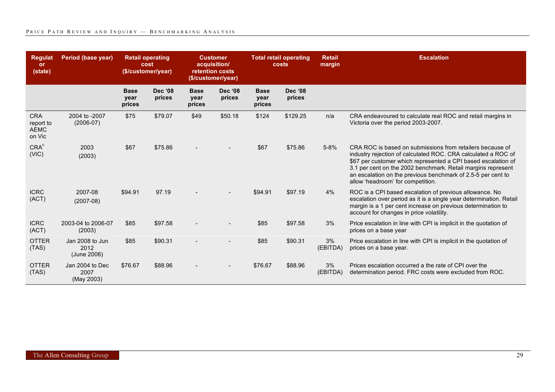| <b>Regulat</b><br>or<br>(state)                  | Period (base year)                     | <b>Retail operating</b><br>cost<br>(\$/customer/year) |                          | <b>Customer</b><br>acquisition/<br>retention costs<br>(\$/customer/year) |                          | <b>Total retail operating</b><br>costs |                          | <b>Retail</b><br>margin | <b>Escalation</b>                                                                                                                                                                                                                                                                                                                                                |
|--------------------------------------------------|----------------------------------------|-------------------------------------------------------|--------------------------|--------------------------------------------------------------------------|--------------------------|----------------------------------------|--------------------------|-------------------------|------------------------------------------------------------------------------------------------------------------------------------------------------------------------------------------------------------------------------------------------------------------------------------------------------------------------------------------------------------------|
|                                                  |                                        | <b>Base</b><br>year<br>prices                         | <b>Dec</b> '08<br>prices | <b>Base</b><br>year<br>prices                                            | <b>Dec '08</b><br>prices | <b>Base</b><br>year<br>prices          | <b>Dec '08</b><br>prices |                         |                                                                                                                                                                                                                                                                                                                                                                  |
| <b>CRA</b><br>report to<br><b>AEMC</b><br>on Vic | 2004 to -2007<br>$(2006-07)$           | \$75                                                  | \$79.07                  | \$49                                                                     | \$50.18                  | \$124                                  | \$129.25                 | n/a                     | CRA endeavoured to calculate real ROC and retail margins in<br>Victoria over the period 2003-2007.                                                                                                                                                                                                                                                               |
| CRA <sup>c</sup><br>(VIC)                        | 2003<br>(2003)                         | \$67                                                  | \$75.86                  |                                                                          |                          | \$67                                   | \$75.86                  | $5 - 8%$                | CRA ROC is based on submissions from retailers because of<br>industry rejection of calculated ROC. CRA calculated a ROC of<br>\$67 per customer which represented a CPI based escalation of<br>3.1 per cent on the 2002 benchmark. Retail margins represent<br>an escalation on the previous benchmark of 2.5-5 per cent to<br>allow 'headroom' for competition. |
| <b>ICRC</b><br>(ACT)                             | 2007-08<br>$(2007-08)$                 | \$94.91                                               | 97.19                    |                                                                          |                          | \$94.91                                | \$97.19                  | 4%                      | ROC is a CPI based escalation of previous allowance. No<br>escalation over period as it is a single year determination. Retail<br>margin is a 1 per cent increase on previous determination to<br>account for changes in price volatility.                                                                                                                       |
| <b>ICRC</b><br>(ACT)                             | 2003-04 to 2006-07<br>(2003)           | \$85                                                  | \$97.58                  |                                                                          |                          | \$85                                   | \$97.58                  | 3%                      | Price escalation in line with CPI is implicit in the quotation of<br>prices on a base year                                                                                                                                                                                                                                                                       |
| <b>OTTER</b><br>(TAS)                            | Jan 2008 to Jun<br>2012<br>(June 2006) | \$85                                                  | \$90.31                  |                                                                          |                          | \$85                                   | \$90.31                  | 3%<br>(EBITDA)          | Price escalation in line with CPI is implicit in the quotation of<br>prices on a base year.                                                                                                                                                                                                                                                                      |
| <b>OTTER</b><br>(TAS)                            | Jan 2004 to Dec<br>2007<br>(May 2003)  | \$76.67                                               | \$88.96                  |                                                                          |                          | \$76.67                                | \$88.96                  | 3%<br>(EBITDA)          | Prices escalation occurred a the rate of CPI over the<br>determination period. FRC costs were excluded from ROC.                                                                                                                                                                                                                                                 |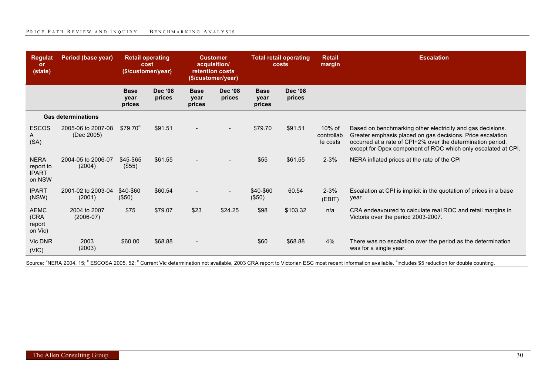| <b>Regulat</b><br>or<br>(state)                    | Period (base year)               | <b>Retail operating</b><br>cost<br>(\$/customer/year) |                          | <b>Customer</b><br>acquisition/<br>retention costs<br>(\$/customer/year) |                          | <b>Total retail operating</b><br>costs |                          | <b>Retail</b><br>margin          | <b>Escalation</b>                                                                                                                                                                                                                                        |
|----------------------------------------------------|----------------------------------|-------------------------------------------------------|--------------------------|--------------------------------------------------------------------------|--------------------------|----------------------------------------|--------------------------|----------------------------------|----------------------------------------------------------------------------------------------------------------------------------------------------------------------------------------------------------------------------------------------------------|
|                                                    |                                  | <b>Base</b><br>year<br>prices                         | <b>Dec '08</b><br>prices | <b>Base</b><br>year<br>prices                                            | <b>Dec '08</b><br>prices | <b>Base</b><br>year<br>prices          | <b>Dec '08</b><br>prices |                                  |                                                                                                                                                                                                                                                          |
|                                                    | <b>Gas determinations</b>        |                                                       |                          |                                                                          |                          |                                        |                          |                                  |                                                                                                                                                                                                                                                          |
| <b>ESCOS</b><br>A<br>(SA)                          | 2005-06 to 2007-08<br>(Dec 2005) | $$79.70^{\circ}$                                      | \$91.51                  |                                                                          |                          | \$79.70                                | \$91.51                  | 10% of<br>controllab<br>le costs | Based on benchmarking other electricity and gas decisions.<br>Greater emphasis placed on gas decisions. Price escalation<br>occurred at a rate of CPI+2% over the determination period,<br>except for Opex component of ROC which only escalated at CPI. |
| <b>NERA</b><br>report to<br><b>IPART</b><br>on NSW | 2004-05 to 2006-07<br>(2004)     | \$45-\$65<br>(\$55)                                   | \$61.55                  |                                                                          |                          | \$55                                   | \$61.55                  | $2 - 3%$                         | NERA inflated prices at the rate of the CPI                                                                                                                                                                                                              |
| <b>IPART</b><br>(NSW)                              | 2001-02 to 2003-04<br>(2001)     | \$40-\$60<br>(\$50)                                   | \$60.54                  |                                                                          |                          | \$40-\$60<br>(\$50)                    | 60.54                    | $2 - 3%$<br>(EBIT)               | Escalation at CPI is implicit in the quotation of prices in a base<br>year.                                                                                                                                                                              |
| <b>AEMC</b><br>(CRA<br>report<br>on Vic)           | 2004 to 2007<br>$(2006-07)$      | \$75                                                  | \$79.07                  | \$23                                                                     | \$24.25                  | \$98                                   | \$103.32                 | n/a                              | CRA endeavoured to calculate real ROC and retail margins in<br>Victoria over the period 2003-2007.                                                                                                                                                       |
| <b>Vic DNR</b><br>(VIC)                            | 2003<br>(2003)                   | \$60.00                                               | \$68.88                  |                                                                          |                          | \$60                                   | \$68.88                  | 4%                               | There was no escalation over the period as the determination<br>was for a single year.                                                                                                                                                                   |

Source: <sup>a</sup>NERA 2004, 15; <sup>b</sup> ESCOSA 2005, 52; <sup>c</sup> Current Vic determination not available, 2003 CRA report to Victorian ESC most recent information available. <sup>d</sup>includes \$5 reduction for double counting.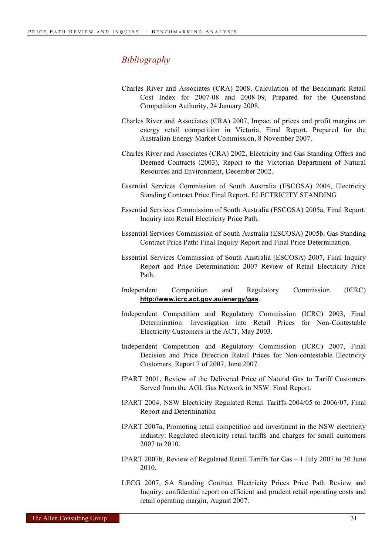#### *Bibliography*

- Charles River and Associates (CRA) 2008, Calculation of the Benchmark Retail Cost Index for 2007-08 and 2008-09, Prepared for the Queensland Competition Authority, 24 January 2008.
- Charles River and Associates (CRA) 2007, Impact of prices and profit margins on energy retail competition in Victoria, Final Report. Prepared for the Australian Energy Market Commission, 8 November 2007.
- Charles River and Associates (CRA) 2002, Electricity and Gas Standing Offers and Deemed Contracts (2003), Report to the Victorian Department of Natural Resources and Environment, December 2002.
- Essential Services Commission of South Australia (ESCOSA) 2004, Electricity Standing Contract Price Final Report. ELECTRICITY STANDING
- Essential Services Commission of South Australia (ESCOSA) 2005a, Final Report: Inquiry into Retail Electricity Price Path.
- Essential Services Commission of South Australia (ESCOSA) 2005b, Gas Standing Contract Price Path: Final Inquiry Report and Final Price Determination.
- Essential Services Commission of South Australia (ESCOSA) 2007, Final Inquiry Report and Price Determination: 2007 Review of Retail Electricity Price Path.
- Independent Competition and Regulatory Commission (ICRC) **http://www.icrc.act.gov.au/energy/gas**.
- Independent Competition and Regulatory Commission (ICRC) 2003, Final Determination: Investigation into Retail Prices for Non-Contestable Electricity Customers in the ACT, May 2003.
- Independent Competition and Regulatory Commission (ICRC) 2007, Final Decision and Price Direction Retail Prices for Non-contestable Electricity Customers, Report 7 of 2007, June 2007.
- IPART 2001, Review of the Delivered Price of Natural Gas to Tariff Customers Served from the AGL Gas Network in NSW: Final Report.
- IPART 2004, NSW Electricity Regulated Retail Tariffs 2004/05 to 2006/07, Final Report and Determination
- IPART 2007a, Promoting retail competition and investment in the NSW electricity industry: Regulated electricity retail tariffs and charges for small customers 2007 to 2010.
- IPART 2007b, Review of Regulated Retail Tariffs for Gas 1 July 2007 to 30 June 2010.
- LECG 2007, SA Standing Contract Electricity Prices Price Path Review and Inquiry: confidential report on efficient and prudent retail operating costs and retail operating margin, August 2007.